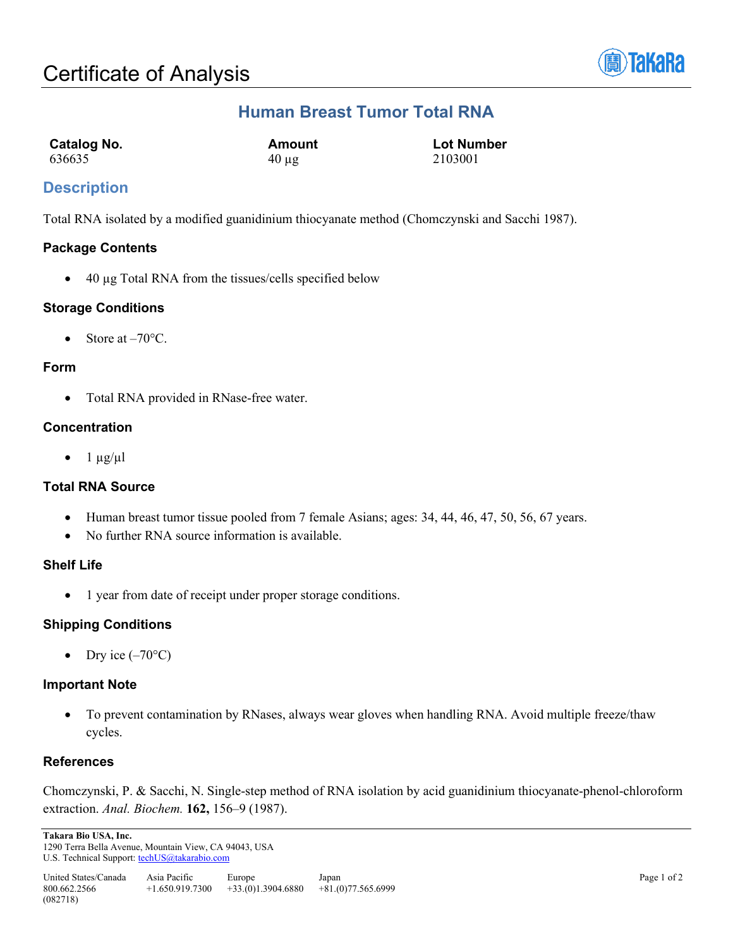

# **Human Breast Tumor Total RNA**

| Catalog No. | Amount     | <b>Lot Number</b> |
|-------------|------------|-------------------|
| 636635      | $40 \mu$ g | 2103001           |

## **Description**

Total RNA isolated by a modified guanidinium thiocyanate method (Chomczynski and Sacchi 1987).

#### **Package Contents**

• 40 µg Total RNA from the tissues/cells specified below

#### **Storage Conditions**

Store at  $-70$ °C.

#### **Form**

• Total RNA provided in RNase-free water.

## **Concentration**

•  $1 \mu g/\mu l$ 

## **Total RNA Source**

- Human breast tumor tissue pooled from 7 female Asians; ages: 34, 44, 46, 47, 50, 56, 67 years.
- No further RNA source information is available.

#### **Shelf Life**

• 1 year from date of receipt under proper storage conditions.

## **Shipping Conditions**

• Dry ice  $(-70^{\circ}C)$ 

## **Important Note**

• To prevent contamination by RNases, always wear gloves when handling RNA. Avoid multiple freeze/thaw cycles.

## **References**

Chomczynski, P. & Sacchi, N. Single-step method of RNA isolation by acid guanidinium thiocyanate-phenol-chloroform extraction. *Anal. Biochem.* **162,** 156–9 (1987).

**Takara Bio USA, Inc.**  1290 Terra Bella Avenue, Mountain View, CA 94043, USA U.S. Technical Support[: techUS@takarabio.com](mailto:techUS@takarabio.com)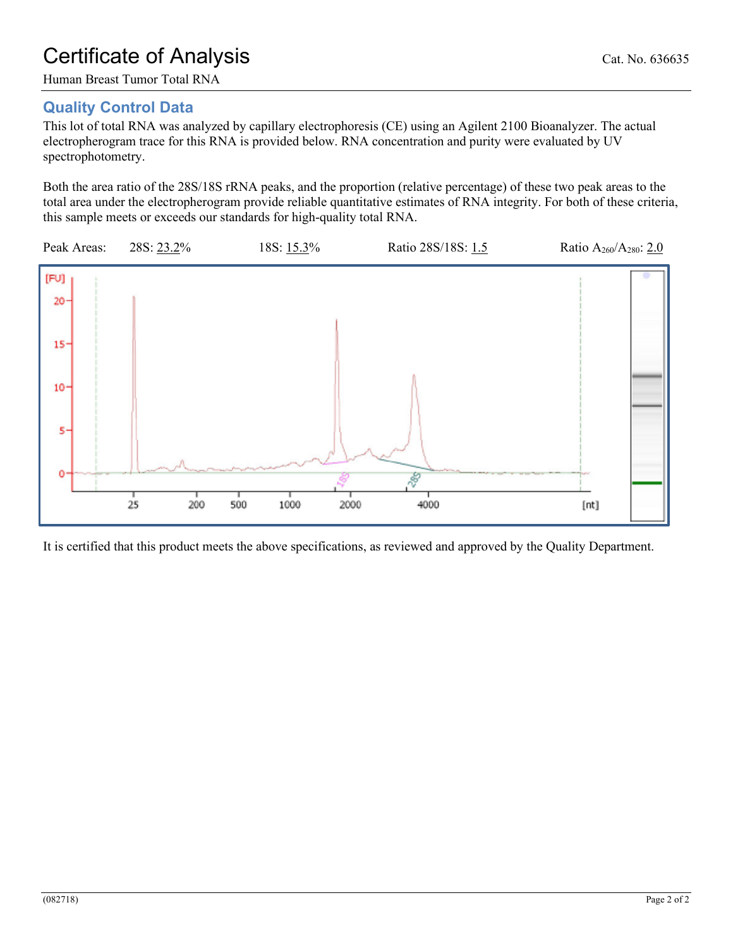# Certificate of Analysis Cat. No. 636635

Human Breast Tumor Total RNA

# **Quality Control Data**

This lot of total RNA was analyzed by capillary electrophoresis (CE) using an Agilent 2100 Bioanalyzer. The actual electropherogram trace for this RNA is provided below. RNA concentration and purity were evaluated by UV spectrophotometry.

Both the area ratio of the 28S/18S rRNA peaks, and the proportion (relative percentage) of these two peak areas to the total area under the electropherogram provide reliable quantitative estimates of RNA integrity. For both of these criteria, this sample meets or exceeds our standards for high-quality total RNA.



It is certified that this product meets the above specifications, as reviewed and approved by the Quality Department.